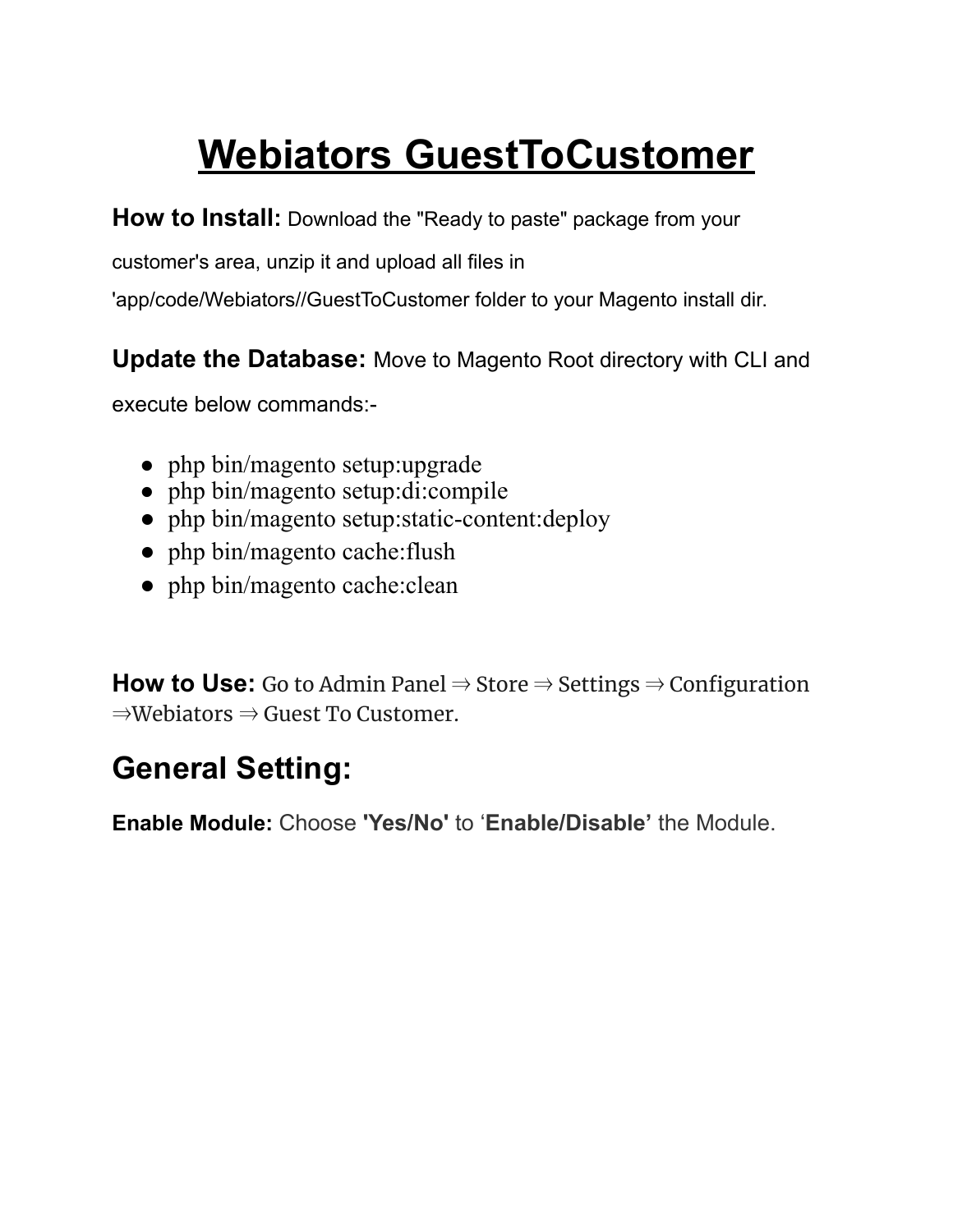# **Webiators GuestToCustomer**

**How to Install:** Download the "Ready to paste" package from your

customer's area, unzip it and upload all files in

'app/code/Webiators//GuestToCustomer folder to your Magento install dir.

**Update the Database:** Move to Magento Root directory with CLI and

execute below commands:-

- php bin/magento setup:upgrade
- php bin/magento setup:di:compile
- php bin/magento setup: static-content: deploy
- php bin/magento cache: flush
- php bin/magento cache: clean

**How to Use:** Go to Admin Panel  $\Rightarrow$  Store  $\Rightarrow$  Settings  $\Rightarrow$  Configuration ⇒Webiators ⇒ Guest To Customer.

# **General Setting:**

**Enable Module:** Choose **'Yes/No'** to '**Enable/Disable'** the Module.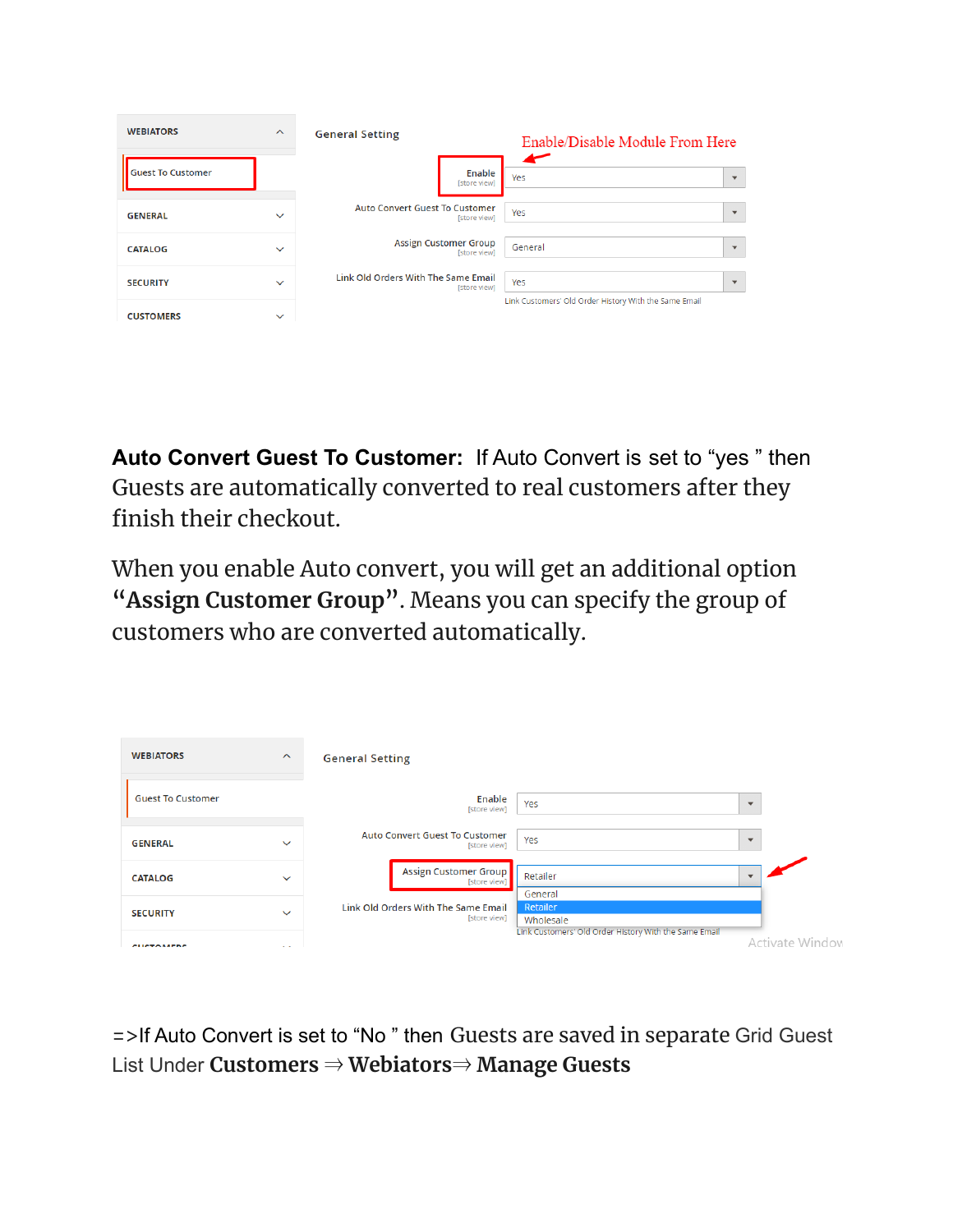| <b>WEBIATORS</b>         | $\widehat{\phantom{a}}$ | <b>General Setting</b>                                       | Enable/Disable Module From Here                       |
|--------------------------|-------------------------|--------------------------------------------------------------|-------------------------------------------------------|
| <b>Guest To Customer</b> |                         | Enable<br>[store view]                                       | ▰<br>Yes<br>$\mathbf{v}$                              |
| <b>GENERAL</b>           | $\checkmark$            | <b>Auto Convert Guest To Customer</b><br><b>Istore viewl</b> | Yes<br>$\overline{\phantom{a}}$                       |
| <b>CATALOG</b>           | $\checkmark$            | <b>Assign Customer Group</b><br>[store view]                 | General<br>$\overline{\mathbf{v}}$                    |
| <b>SECURITY</b>          | $\checkmark$            | Link Old Orders With The Same Email<br>[store view]          | Yes<br>$\overline{\mathbf{v}}$                        |
| <b>CUSTOMERS</b>         | $\checkmark$            |                                                              | Link Customers' Old Order History With the Same Email |

**Auto Convert Guest To Customer:** If Auto Convert is set to "yes " then Guests are automatically converted to real customers after they finish their checkout.

When you enable Auto convert, you will get an additional option **"Assign Customer Group"**. Means you can specify the group of customers who are converted automatically.

| <b>WEBIATORS</b>         | $\boldsymbol{\wedge}$        | <b>General Setting</b>                                                       |                          |
|--------------------------|------------------------------|------------------------------------------------------------------------------|--------------------------|
| <b>Guest To Customer</b> |                              | Enable<br>Yes<br>[store view]                                                |                          |
| <b>GENERAL</b>           | $\checkmark$                 | <b>Auto Convert Guest To Customer</b><br>Yes<br>[store view]                 | $\overline{\phantom{0}}$ |
| <b>CATALOG</b>           | $\checkmark$                 | <b>Assign Customer Group</b><br>Retailer<br>[store view]<br>General          |                          |
| <b>SECURITY</b>          | $\checkmark$                 | Retailer<br>Link Old Orders With The Same Email<br>[store view]<br>Wholesale |                          |
| CUCTOMERS                | $\mathbf{X} \in \mathcal{X}$ | Link Customers' Old Order History With the Same Email                        | Activate Window          |

=>If Auto Convert is set to "No " then Guests are saved in separate Grid Guest List Under **Customers** ⇒ **Webiators**⇒ **Manage Guests**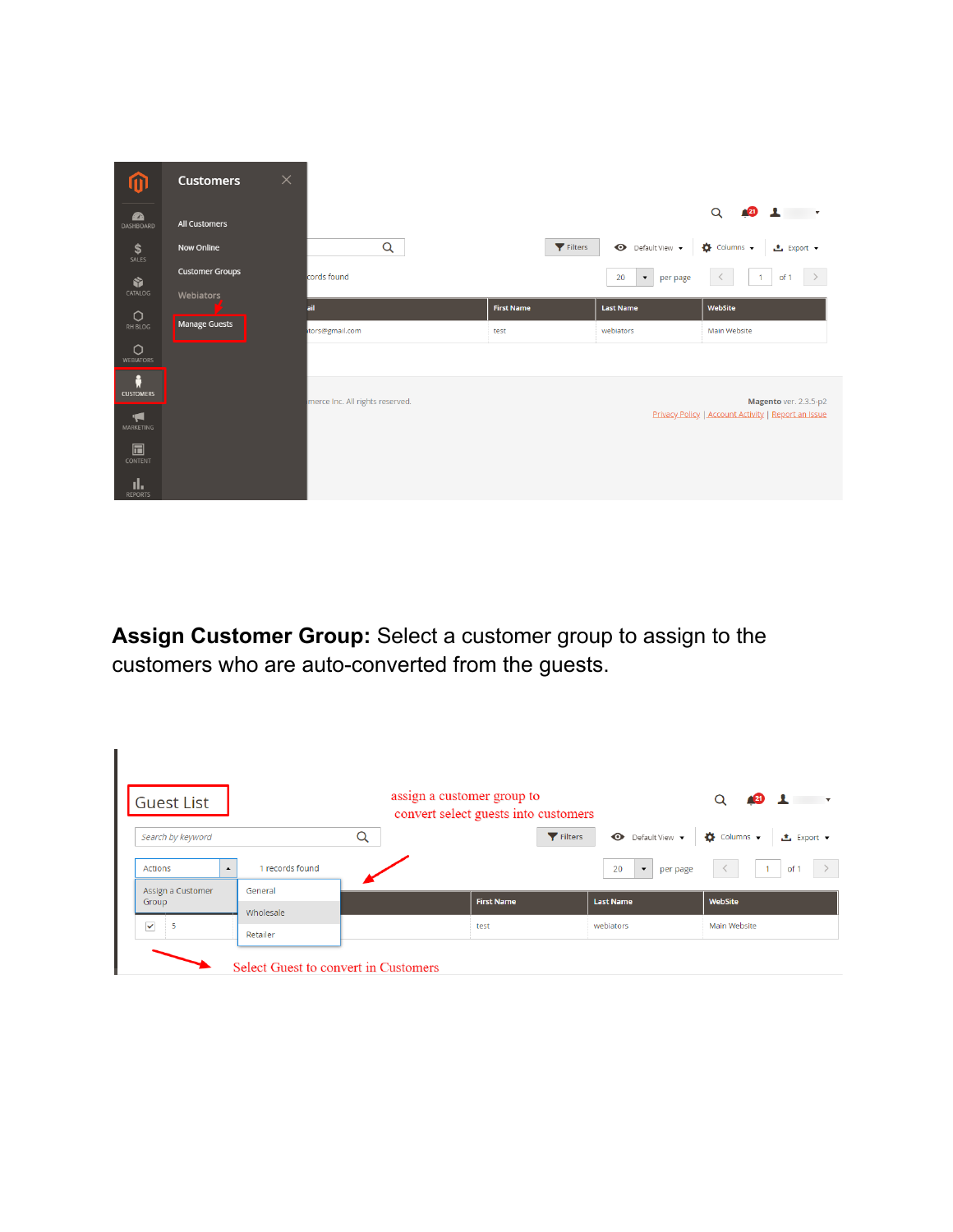| ⋒                                 | <b>Customers</b>       | $\times$ |                                 |                   |                                        |                                                                              |
|-----------------------------------|------------------------|----------|---------------------------------|-------------------|----------------------------------------|------------------------------------------------------------------------------|
| $\mathbf{r}$<br>DASHBOARD         | All Customers          |          |                                 |                   |                                        | Q<br>$\sqrt{2}$ $\sqrt{2}$ $\sqrt{2}$                                        |
| \$<br>SALES                       | Now Online             |          | Q                               |                   | Default View v<br>Filters              | $\bullet$ Columns $\bullet$<br><b>上</b> Export ▼                             |
| Ŷ                                 | <b>Customer Groups</b> |          | cords found                     |                   | $\blacktriangledown$<br>20<br>per page | $\rightarrow$<br>$\langle$<br>$-1$<br>of 1                                   |
| CATALOG                           | Webiators              | ail      |                                 | <b>First Name</b> | <b>Last Name</b>                       | WebSite                                                                      |
| $\circ$<br>RH BLOG                | <b>Manage Guests</b>   |          | tors@gmail.com                  | test              | webiators                              | Main Website                                                                 |
| $\circ$<br>WEBIATORS              |                        |          |                                 |                   |                                        |                                                                              |
| Å<br><b>CUSTOMERS</b>             |                        |          |                                 |                   |                                        |                                                                              |
| $\blacktriangleleft$<br>MARKETING |                        |          | merce Inc. All rights reserved. |                   |                                        | Magento ver. 2.3.5-p2<br>Privacy Policy   Account Activity   Report an Issue |
| $\square$<br>CONTENT              |                        |          |                                 |                   |                                        |                                                                              |
| d.<br><b>REPORTS</b>              |                        |          |                                 |                   |                                        |                                                                              |

**Assign Customer Group:** Select a customer group to assign to the customers who are auto-converted from the guests.

| <b>Guest List</b>           |                                      | assign a customer group to | convert select guests into customers |                                        | Q                                                |
|-----------------------------|--------------------------------------|----------------------------|--------------------------------------|----------------------------------------|--------------------------------------------------|
| Search by keyword           |                                      | Q                          | Filters                              | $\bullet$ Default View $\bullet$       | $\bullet$ Columns $\bullet$<br><b>上</b> Export ▼ |
| Actions<br>$\blacktriangle$ | 1 records found                      |                            |                                      | 20<br>per page<br>$\blacktriangledown$ | of 1<br>$\rightarrow$                            |
| Assign a Customer<br>Group  | General<br>Wholesale                 |                            | <b>First Name</b>                    | <b>Last Name</b>                       | WebSite                                          |
| $\checkmark$<br>5           | Retailer                             |                            | test                                 | webiators                              | Main Website                                     |
|                             | Select Guest to convert in Customers |                            |                                      |                                        |                                                  |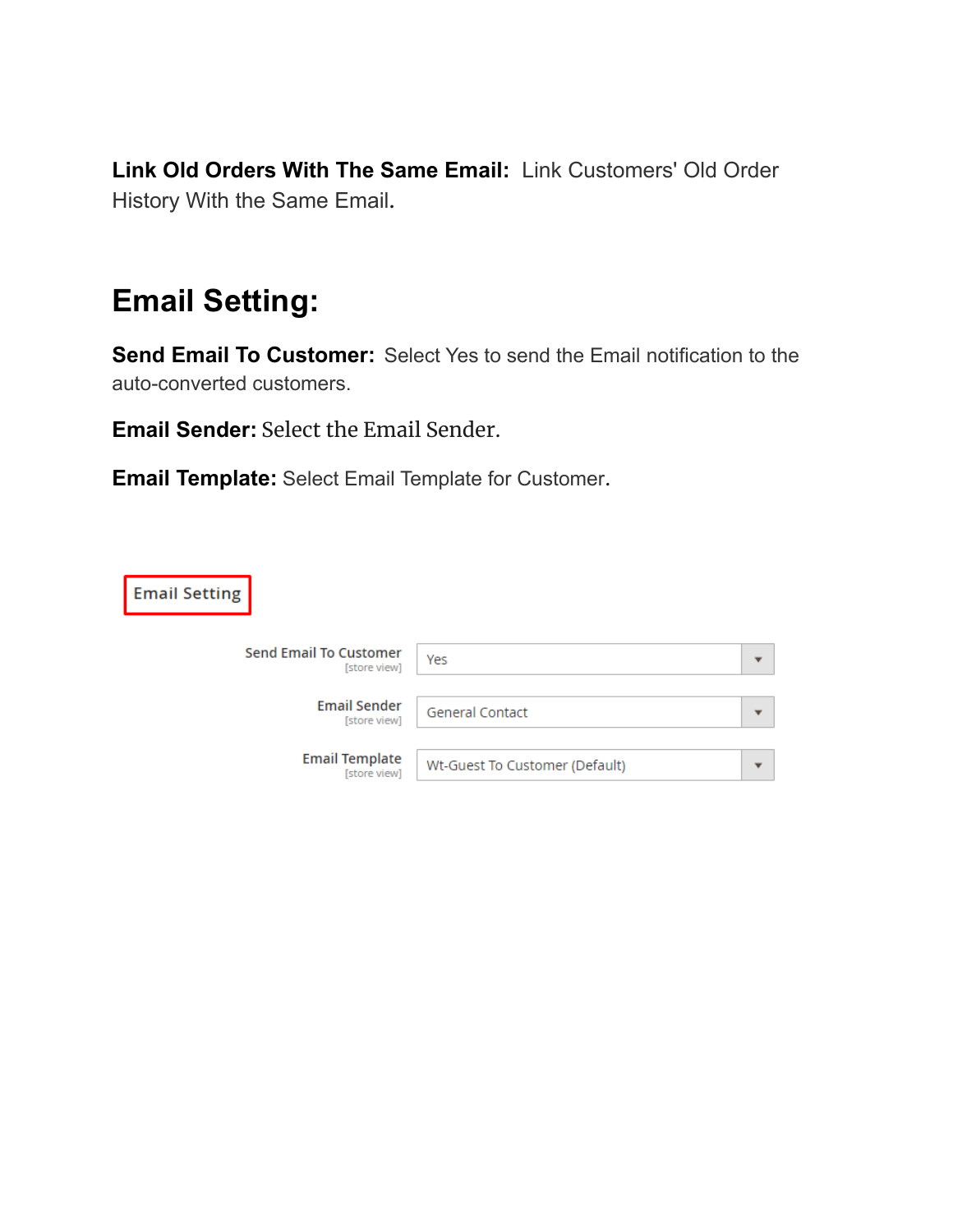**Link Old Orders With The Same Email:** Link Customers' Old Order History With the Same Email.

### **Email Setting:**

**Send Email To Customer:** Select Yes to send the Email notification to the auto-converted customers.

**Email Sender:** Select the Email Sender.

**Email Template:** Select Email Template for Customer.

| <b>Email Setting</b>                          |                                |  |
|-----------------------------------------------|--------------------------------|--|
| <b>Send Email To Customer</b><br>[store view] | Yes                            |  |
| <b>Email Sender</b><br>[store view]           | <b>General Contact</b>         |  |
| <b>Email Template</b><br>[store view]         | Wt-Guest To Customer (Default) |  |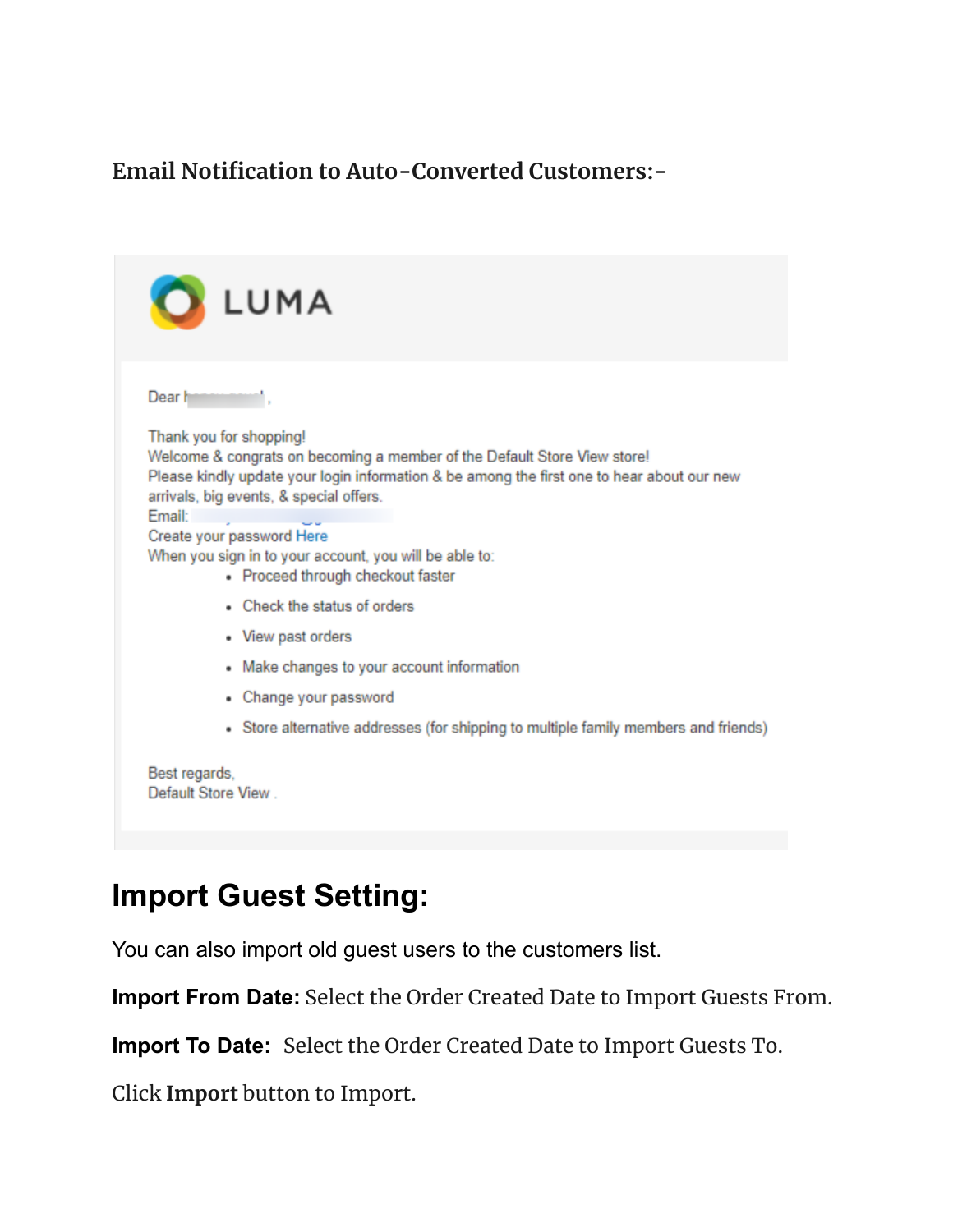#### **Email Notification to Auto-Converted Customers:-**

| LUMA                                                                                                                                                                                                                                                                                                                                                                                                                                                                                                                              |  |
|-----------------------------------------------------------------------------------------------------------------------------------------------------------------------------------------------------------------------------------------------------------------------------------------------------------------------------------------------------------------------------------------------------------------------------------------------------------------------------------------------------------------------------------|--|
| Dear h<br>Thank you for shopping!<br>Welcome & congrats on becoming a member of the Default Store View store!<br>Please kindly update your login information & be among the first one to hear about our new<br>arrivals, big events, & special offers.<br><b>Email:</b><br>Create your password Here<br>When you sign in to your account, you will be able to:<br>• Proceed through checkout faster<br>• Check the status of orders<br>• View past orders<br>• Make changes to your account information<br>• Change your password |  |
| • Store alternative addresses (for shipping to multiple family members and friends)<br>Best regards,<br>Default Store View                                                                                                                                                                                                                                                                                                                                                                                                        |  |

## **Import Guest Setting:**

You can also import old guest users to the customers list.

**Import From Date:** Select the Order Created Date to Import Guests From.

**Import To Date:** Select the Order Created Date to Import Guests To.

Click **Import** button to Import.